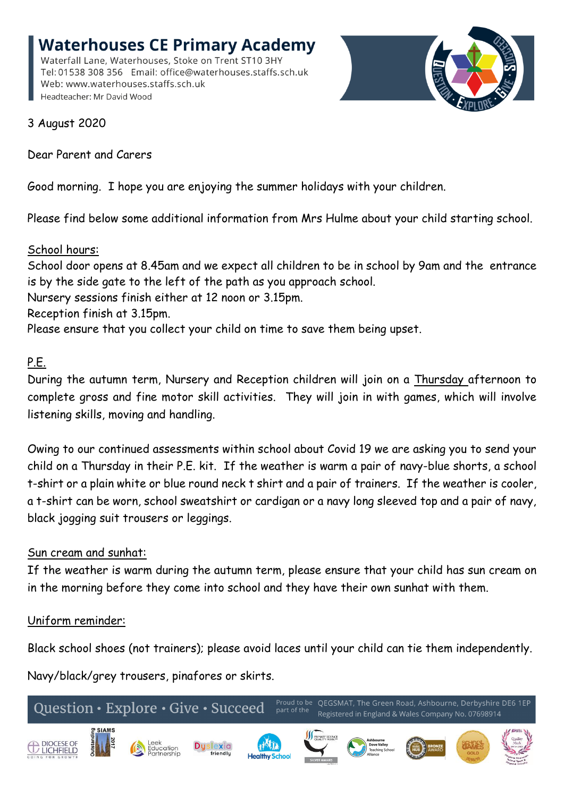**Waterhouses CE Primary Academy** Waterfall Lane, Waterhouses, Stoke on Trent ST10 3HY Tel: 01538 308 356 Email: office@waterhouses.staffs.sch.uk Web: www.waterhouses.staffs.sch.uk Headteacher: Mr David Wood



3 August 2020

Dear Parent and Carers

Good morning. I hope you are enjoying the summer holidays with your children.

Please find below some additional information from Mrs Hulme about your child starting school.

## School hours:

School door opens at 8.45am and we expect all children to be in school by 9am and the entrance is by the side gate to the left of the path as you approach school.

Nursery sessions finish either at 12 noon or 3.15pm.

Reception finish at 3.15pm.

Please ensure that you collect your child on time to save them being upset.

## P.E.

During the autumn term, Nursery and Reception children will join on a Thursday afternoon to complete gross and fine motor skill activities. They will join in with games, which will involve listening skills, moving and handling.

Owing to our continued assessments within school about Covid 19 we are asking you to send your child on a Thursday in their P.E. kit. If the weather is warm a pair of navy-blue shorts, a school t-shirt or a plain white or blue round neck t shirt and a pair of trainers. If the weather is cooler, a t-shirt can be worn, school sweatshirt or cardigan or a navy long sleeved top and a pair of navy, black jogging suit trousers or leggings.

## Sun cream and sunhat:

If the weather is warm during the autumn term, please ensure that your child has sun cream on in the morning before they come into school and they have their own sunhat with them.

## Uniform reminder:

Black school shoes (not trainers); please avoid laces until your child can tie them independently.

Navy/black/grey trousers, pinafores or skirts.